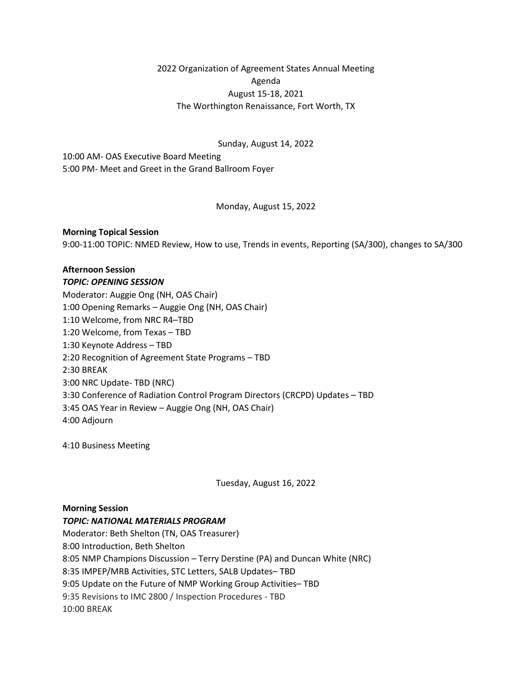2022 Organization of Agreement States Annual Meeting Agenda August 15-18, 2021 The Worthington Renaissance, Fort Worth, TX

Sunday, August 14, 2022

10:00 AM- OAS Executive Board Meeting 5:00 PM- Meet and Greet in the Grand Ballroom Foyer

Monday, August 15, 2022

## **Morning Topical Session**

9:00-11:00 TOPIC: NMED Review, How to use, Trends in events, Reporting (SA/300), changes to SA/300

# **Afternoon Session**

#### *TOPIC: OPENING SESSION*

Moderator: Auggie Ong (NH, OAS Chair) 1:00 Opening Remarks – Auggie Ong (NH, OAS Chair) 1:10 Welcome, from NRC R4–TBD 1:20 Welcome, from Texas – TBD 1:30 Keynote Address – TBD 2:20 Recognition of Agreement State Programs – TBD 2:30 BREAK 3:00 NRC Update- TBD (NRC) 3:30 Conference of Radiation Control Program Directors (CRCPD) Updates – TBD 3:45 OAS Year in Review – Auggie Ong (NH, OAS Chair) 4:00 Adjourn

4:10 Business Meeting

Tuesday, August 16, 2022

## **Morning Session**

#### *TOPIC: NATIONAL MATERIALS PROGRAM*

Moderator: Beth Shelton (TN, OAS Treasurer) 8:00 Introduction, Beth Shelton 8:05 NMP Champions Discussion – Terry Derstine (PA) and Duncan White (NRC) 8:35 IMPEP/MRB Activities, STC Letters, SALB Updates– TBD 9:05 Update on the Future of NMP Working Group Activities– TBD 9:35 Revisions to IMC 2800 / Inspection Procedures - TBD 10:00 BREAK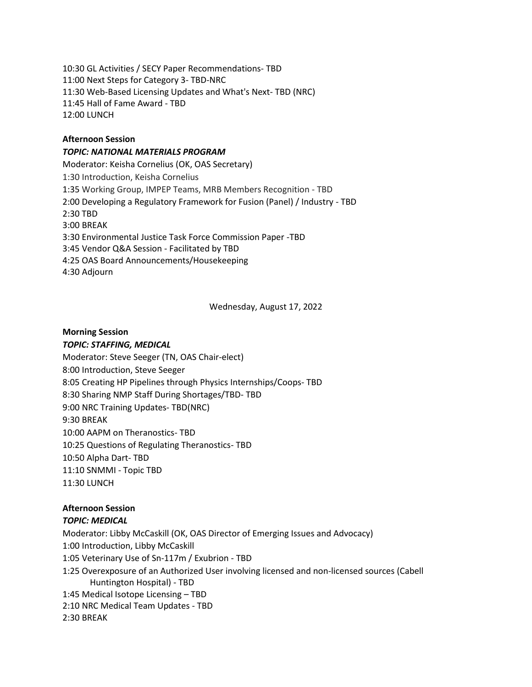10:30 GL Activities / SECY Paper Recommendations- TBD 11:00 Next Steps for Category 3- TBD-NRC 11:30 Web-Based Licensing Updates and What's Next- TBD (NRC) 11:45 Hall of Fame Award - TBD 12:00 LUNCH

## **Afternoon Session**

### *TOPIC: NATIONAL MATERIALS PROGRAM*

Moderator: Keisha Cornelius (OK, OAS Secretary) 1:30 Introduction, Keisha Cornelius 1:35 Working Group, IMPEP Teams, MRB Members Recognition - TBD 2:00 Developing a Regulatory Framework for Fusion (Panel) / Industry - TBD 2:30 TBD 3:00 BREAK 3:30 Environmental Justice Task Force Commission Paper -TBD 3:45 Vendor Q&A Session - Facilitated by TBD 4:25 OAS Board Announcements/Housekeeping 4:30 Adjourn

Wednesday, August 17, 2022

## **Morning Session**

### *TOPIC: STAFFING, MEDICAL*

Moderator: Steve Seeger (TN, OAS Chair-elect) 8:00 Introduction, Steve Seeger 8:05 Creating HP Pipelines through Physics Internships/Coops- TBD 8:30 Sharing NMP Staff During Shortages/TBD- TBD 9:00 NRC Training Updates- TBD(NRC) 9:30 BREAK 10:00 AAPM on Theranostics- TBD 10:25 Questions of Regulating Theranostics- TBD 10:50 Alpha Dart- TBD 11:10 SNMMI - Topic TBD 11:30 LUNCH

## **Afternoon Session**

#### *TOPIC: MEDICAL*

Moderator: Libby McCaskill (OK, OAS Director of Emerging Issues and Advocacy) 1:00 Introduction, Libby McCaskill 1:05 Veterinary Use of Sn-117m / Exubrion - TBD 1:25 Overexposure of an Authorized User involving licensed and non-licensed sources (Cabell Huntington Hospital) - TBD 1:45 Medical Isotope Licensing – TBD 2:10 NRC Medical Team Updates - TBD 2:30 BREAK